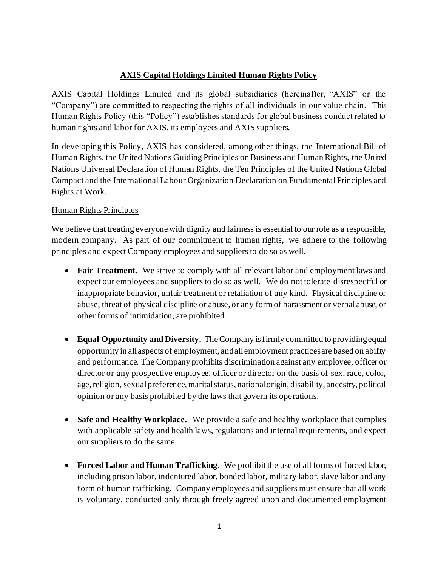# **AXIS Capital Holdings Limited Human Rights Policy**

AXIS Capital Holdings Limited and its global subsidiaries (hereinafter, "AXIS" or the "Company") are committed to respecting the rights of all individuals in our value chain. This Human Rights Policy (this "Policy") establishes standards for global business conduct related to human rights and labor for AXIS, its employees and AXIS suppliers.

In developing this Policy, AXIS has considered, among other things, the International Bill of Human Rights, the United Nations Guiding Principles on Business and Human Rights, the United Nations Universal Declaration of Human Rights, the Ten Principles of the United Nations Global Compact and the International Labour Organization Declaration on Fundamental Principles and Rights at Work.

## Human Rights Principles

We believe that treating everyone with dignity and fairness is essential to our role as a responsible. modern company. As part of our commitment to human rights, we adhere to the following principles and expect Company employees and suppliers to do so as well.

- **Fair Treatment.** We strive to comply with all relevant labor and employment laws and expect our employees and suppliers to do so as well. We do not tolerate disrespectful or inappropriate behavior, unfair treatment or retaliation of any kind. Physical discipline or abuse, threat of physical discipline or abuse, or any form of harassment or verbal abuse, or other forms of intimidation, are prohibited.
- **Equal Opportunity and Diversity.** The Company is firmly committed to providing equal opportunity in all aspects of employment, and all employment practices are based on ability and performance. The Company prohibits discrimination against any employee, officer or director or any prospective employee, officer or director on the basis of sex, race, color, age, religion, sexual preference, marital status, national origin, disability, ancestry, political opinion or any basis prohibited by the laws that govern its operations.
- **Safe and Healthy Workplace.** We provide a safe and healthy workplace that complies with applicable safety and health laws, regulations and internal requirements, and expect our suppliers to do the same.
- **Forced Labor and Human Trafficking**. We prohibit the use of all forms of forced labor, including prison labor, indentured labor, bonded labor, military labor, slave labor and any form of human trafficking. Company employees and suppliers must ensure that all work is voluntary, conducted only through freely agreed upon and documented employment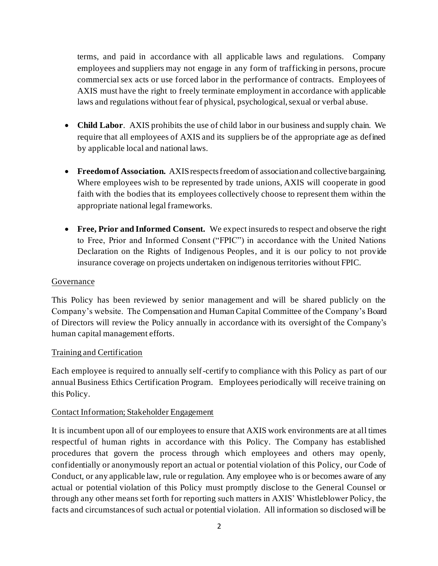terms, and paid in accordance with all applicable laws and regulations. Company employees and suppliers may not engage in any form of trafficking in persons, procure commercial sex acts or use forced labor in the performance of contracts. Employees of AXIS must have the right to freely terminate employment in accordance with applicable laws and regulations without fear of physical, psychological, sexual or verbal abuse.

- **Child Labor**. AXIS prohibits the use of child labor in our business and supply chain. We require that all employees of AXIS and its suppliers be of the appropriate age as defined by applicable local and national laws.
- **Freedom of Association.** AXIS respects freedom of association and collective bargaining. Where employees wish to be represented by trade unions, AXIS will cooperate in good faith with the bodies that its employees collectively choose to represent them within the appropriate national legal frameworks.
- **Free, Prior and Informed Consent.** We expect insureds to respect and observe the right to Free, Prior and Informed Consent ("FPIC") in accordance with the United Nations Declaration on the Rights of Indigenous Peoples, and it is our policy to not provide insurance coverage on projects undertaken on indigenous territories without FPIC.

#### Governance

This Policy has been reviewed by senior management and will be shared publicly on the Company's website. The Compensation and Human Capital Committee of the Company's Board of Directors will review the Policy annually in accordance with its oversight of the Company's human capital management efforts.

### Training and Certification

Each employee is required to annually self-certify to compliance with this Policy as part of our annual Business Ethics Certification Program. Employees periodically will receive training on this Policy.

#### Contact Information; Stakeholder Engagement

It is incumbent upon all of our employees to ensure that AXIS work environments are at all times respectful of human rights in accordance with this Policy. The Company has established procedures that govern the process through which employees and others may openly, confidentially or anonymously report an actual or potential violation of this Policy, our Code of Conduct, or any applicable law, rule or regulation. Any employee who is or becomes aware of any actual or potential violation of this Policy must promptly disclose to the General Counsel or through any other means set forth for reporting such matters in AXIS' Whistleblower Policy, the facts and circumstances of such actual or potential violation. All information so disclosed will be